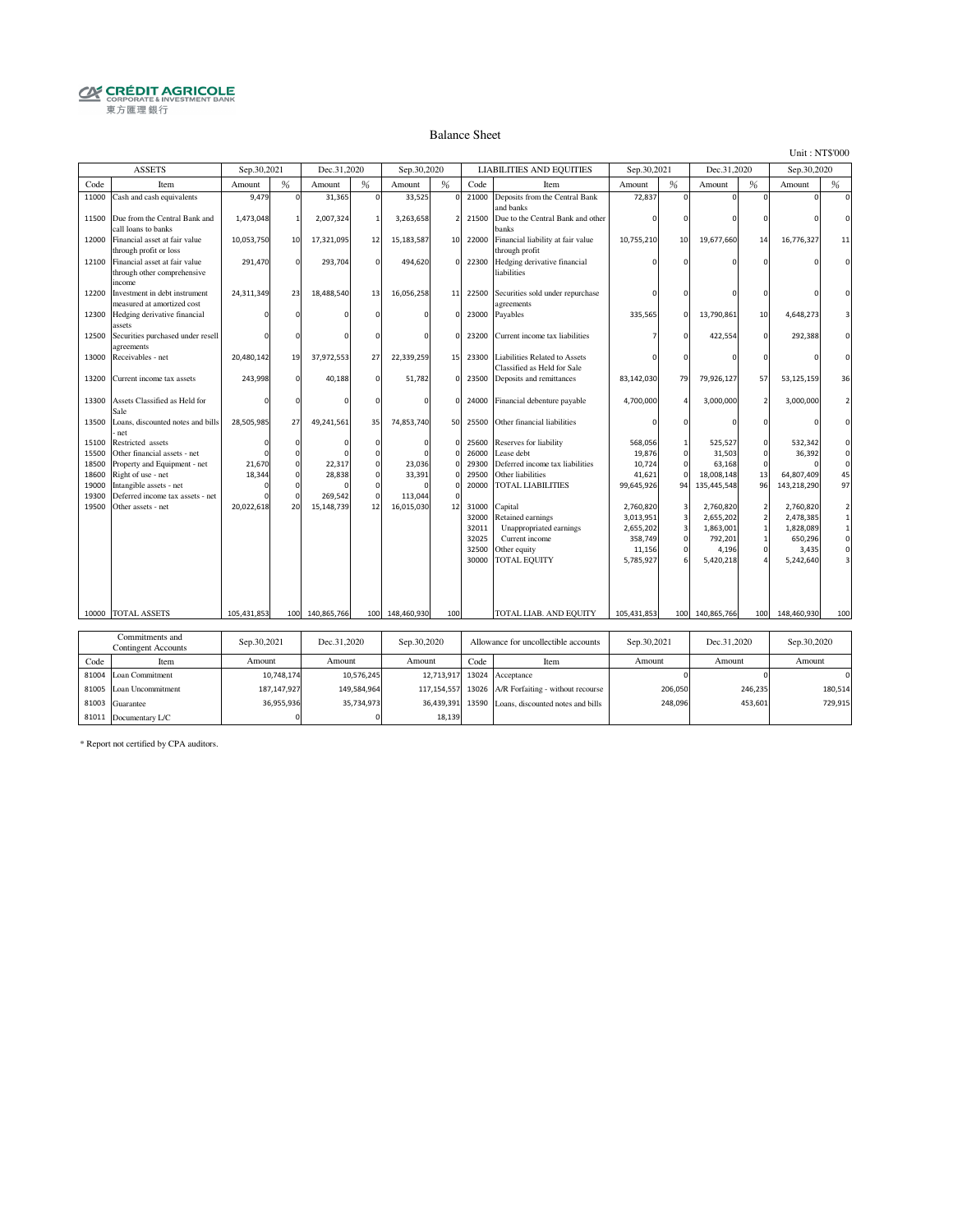# **CRÉDIT AGRICOLE**<br> **CORPORATE& INVESTMENT BANK**<br>
東方匯理銀行

#### Balance Sheet

Unit : NT\$'000

|       | <b>ASSETS</b>                                                          | Sep.30,2021 |               | Dec.31,2020 |             | Sep.30,2020 |                          |       | <b>LIABILITIES AND EQUITIES</b>                              | Sep.30,2021 |                         | Dec.31,2020 |                          | Sep.30,2020 |              |
|-------|------------------------------------------------------------------------|-------------|---------------|-------------|-------------|-------------|--------------------------|-------|--------------------------------------------------------------|-------------|-------------------------|-------------|--------------------------|-------------|--------------|
| Code  | Item                                                                   | Amount      | %             | Amount      | %           | Amount      | %                        | Code  | Item                                                         | Amount      | %                       | Amount      | %                        | Amount      | %            |
| 11000 | Cash and cash equivalents                                              | 9,479       | $\Omega$      | 31,365      | $\Omega$    | 33,525      |                          | 21000 | Deposits from the Central Bank<br>and banks                  | 72,837      |                         |             |                          |             |              |
| 11500 | Due from the Central Bank and<br>call loans to banks                   | 1,473,048   |               | 2,007,324   | -1          | 3,263,658   | $\overline{\phantom{a}}$ | 21500 | Due to the Central Bank and other<br>banks                   |             |                         |             |                          |             |              |
| 12000 | Financial asset at fair value<br>through profit or loss                | 10,053,750  | 10            | 17,321,095  | 12          | 15,183,587  | 10                       | 22000 | Financial liability at fair value<br>through profit          | 10,755,210  | 10                      | 19,677,660  | 14                       | 16,776,327  | 11           |
| 12100 | Financial asset at fair value<br>through other comprehensive<br>income | 291,470     | $\mathbf 0$   | 293,704     |             | 494,620     |                          | 22300 | Hedging derivative financial<br>liabilities                  |             |                         |             |                          |             |              |
| 12200 | Investment in debt instrument<br>measured at amortized cost            | 24,311,349  | 23            | 18,488.540  | 13          | 16,056,258  | 11                       | 22500 | Securities sold under repurchase<br>agreements               |             |                         |             |                          |             |              |
| 12300 | Hedging derivative financial<br>assets                                 | $\Omega$    | $\Omega$      |             |             |             |                          | 23000 | Payables                                                     | 335,565     | $\Omega$                | 13,790,861  | 10                       | 4,648,273   |              |
| 12500 | Securities purchased under resell<br>agreements                        |             | $\Omega$      |             |             |             |                          | 23200 | Current income tax liabilities                               |             | $\Omega$                | 422,554     | $\Omega$                 | 292,388     |              |
| 13000 | Receivables - net                                                      | 20,480,142  | 19            | 37,972,553  | 27          | 22,339,259  | 15                       | 23300 | Liabilities Related to Assets<br>Classified as Held for Sale |             |                         |             |                          |             |              |
| 13200 | Current income tax assets                                              | 243,998     | $\mathbf 0$   | 40,188      | $\mathbf 0$ | 51,782      | $\mathbf 0$              | 23500 | Deposits and remittances                                     | 83,142,030  | 79                      | 79,926,127  | 57                       | 53,125,159  | 36           |
| 13300 | Assets Classified as Held for<br>Sale                                  |             | $\Omega$      |             |             |             | $\mathbf 0$              | 24000 | Financial debenture payable                                  | 4,700,000   | $\Delta$                | 3,000,000   |                          | 3,000,000   |              |
| 13500 | Loans, discounted notes and bills<br>net                               | 28,505,985  | 27            | 49,241,561  | 35          | 74,853,740  | 50                       | 25500 | Other financial liabilities                                  |             |                         |             | $\Omega$                 |             | $\Omega$     |
| 15100 | Restricted assets                                                      | n           | $\Omega$      |             | n           |             | $\Omega$                 | 25600 | Reserves for liability                                       | 568,056     | $\mathbf{1}$            | 525,527     | $\Omega$                 | 532,342     |              |
| 15500 | Other financial assets - net                                           |             | $\Omega$      |             |             |             |                          | 26000 | Lease debt                                                   | 19,876      | $\mathbf 0$             | 31,503      | $\Omega$                 | 36,392      | $\Omega$     |
| 18500 | Property and Equipment - net                                           | 21,670      | $\mathsf 0$   | 22,317      |             | 23,036      |                          | 29300 | Deferred income tax liabilities                              | 10,724      | $\circ$                 | 63,168      |                          |             |              |
| 18600 | Right of use - net                                                     | 18,344      | $\mathbf 0$   | 28,838      | $\Omega$    | 33,391      |                          | 29500 | Other liabilities                                            | 41,621      | $\Omega$                | 18,008,148  | 13                       | 64,807,409  | 45           |
| 19000 | Intangible assets - net                                                |             | $\mathbf 0$   |             |             |             |                          | 20000 | <b>TOTAL LIABILITIES</b>                                     | 99,645,926  | 94                      | 135,445,548 | 96                       | 143,218,290 | 97           |
| 19300 | Deferred income tax assets - net                                       |             | $\Omega$      | 269,542     |             | 113,044     |                          |       |                                                              |             |                         |             |                          |             |              |
| 19500 | Other assets - net                                                     | 20,022,618  | 20            | 15,148,739  | 12          | 16,015,030  | 12                       | 31000 | Capital                                                      | 2,760,820   | 3                       | 2,760,820   | $\overline{\phantom{a}}$ | 2,760,820   |              |
|       |                                                                        |             |               |             |             |             |                          | 32000 | Retained earnings                                            | 3,013,951   | $\overline{3}$          | 2,655,202   |                          | 2,478,385   | $\mathbf{1}$ |
|       |                                                                        |             |               |             |             |             |                          | 32011 | Unappropriated earnings                                      | 2,655,202   | $\overline{\mathbf{3}}$ | 1,863,001   |                          | 1,828,089   | $\mathbf 1$  |
|       |                                                                        |             |               |             |             |             |                          | 32025 | Current income                                               | 358,749     | $\mathbf 0$             | 792,201     |                          | 650,296     | $\circ$      |
|       |                                                                        |             |               |             |             |             |                          | 32500 | Other equity                                                 | 11,156      | $\circ$                 | 4,196       |                          | 3,435       | $\mathbf{0}$ |
|       |                                                                        |             |               |             |             |             |                          | 30000 | <b>TOTAL EQUITY</b>                                          | 5,785,927   | 6                       | 5,420,218   |                          | 5,242,640   |              |
|       |                                                                        |             |               |             |             |             |                          |       |                                                              |             |                         |             |                          |             |              |
|       | 10000 TOTAL ASSETS                                                     | 105,431,853 | 100           | 140,865,766 | 100         | 148,460,930 | 100                      |       | TOTAL LIAB. AND EQUITY                                       | 105,431,853 | 100                     | 140,865,766 | 100                      | 148,460,930 | 100          |
|       |                                                                        |             |               |             |             |             |                          |       |                                                              |             |                         |             |                          |             |              |
|       | Commitments and                                                        |             |               |             |             |             |                          |       |                                                              |             |                         |             |                          |             |              |
|       | <b>Contingent Accounts</b>                                             | Sep.30,2021 |               | Dec.31,2020 |             | Sep.30,2020 |                          |       | Allowance for uncollectible accounts                         | Sep.30,2021 |                         | Dec.31,2020 |                          | Sep.30,2020 |              |
| Code  | Item                                                                   | Amount      |               | Amount      |             | Amount      |                          | Code  | Item                                                         | Amount      |                         | Amount      |                          | Amount      |              |
| 81004 | Loan Commitment                                                        |             | 10,748,174    |             | 10,576,245  |             | 12,713,917               | 13024 | Acceptance                                                   |             |                         |             |                          |             |              |
| 81005 | Loan Uncommitment                                                      |             | 187, 147, 927 |             | 149,584,964 |             | 117,154,557              | 13026 | A/R Forfaiting - without recourse                            |             | 206,050                 |             | 246,235                  |             | 180,514      |
| 81003 | Guarantee                                                              |             | 36,955,936    |             | 35,734,973  |             | 36,439,391               | 13590 | Loans, discounted notes and bills                            |             | 248,096                 |             | 453,601                  |             | 729,915      |
|       | 81011 Documentary L/C                                                  |             | $\mathbf 0$   |             |             |             | 18,139                   |       |                                                              |             |                         |             |                          |             |              |

\* Report not certified by CPA auditors.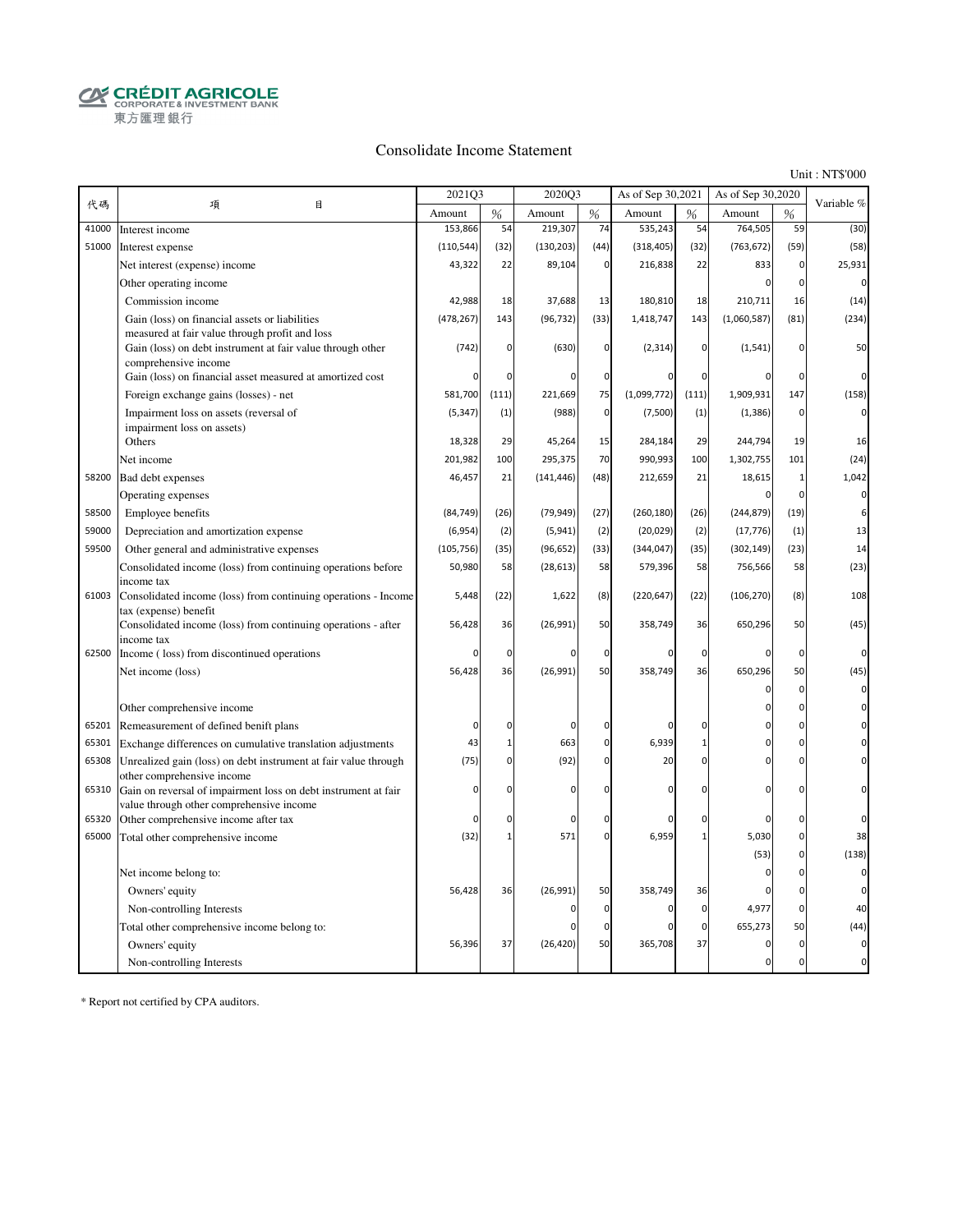**CRÉDIT AGRICOLE**<br>CORPORATE & INVESTMENT BANK 東方匯理銀行

#### Consolidate Income Statement

Unit : NT\$'000

|       |                                                                                                                                      | 2021Q3     |                | 2020Q3        |              | As of Sep 30,2021 |                | As of Sep 30,2020 |              |             |
|-------|--------------------------------------------------------------------------------------------------------------------------------------|------------|----------------|---------------|--------------|-------------------|----------------|-------------------|--------------|-------------|
| 代碼    | 項<br>目                                                                                                                               | Amount     | %              | Amount        | $\%$         | Amount            | $\frac{9}{6}$  | Amount            | %            | Variable %  |
| 41000 | Interest income                                                                                                                      | 153,866    | 54             | 219,307       | 74           | 535,243           | 54             | 764,505           | 59           | (30)        |
| 51000 | Interest expense                                                                                                                     | (110, 544) | (32)           | (130, 203)    | (44)         | (318, 405)        | (32)           | (763, 672)        | (59)         | (58)        |
|       | Net interest (expense) income                                                                                                        | 43,322     | 22             | 89,104        | $\mathbf 0$  | 216,838           | 22             | 833               | $\mathbf 0$  | 25,931      |
|       | Other operating income                                                                                                               |            |                |               |              |                   |                | $\Omega$          | $\mathbf 0$  | $\mathbf 0$ |
|       | Commission income                                                                                                                    | 42,988     | 18             | 37,688        | 13           | 180,810           | 18             | 210,711           | 16           | (14)        |
|       | Gain (loss) on financial assets or liabilities                                                                                       | (478, 267) | 143            | (96, 732)     | (33)         | 1,418,747         | 143            | (1,060,587)       | (81)         | (234)       |
|       | measured at fair value through profit and loss<br>Gain (loss) on debt instrument at fair value through other<br>comprehensive income | (742)      | $\overline{0}$ | (630)         | $\mathbf{0}$ | (2, 314)          | $\mathbf 0$    | (1, 541)          | $\mathbf 0$  | 50          |
|       | Gain (loss) on financial asset measured at amortized cost                                                                            |            | $\mathbf 0$    | $\mathsf{C}$  | $\mathbf 0$  |                   | 0              |                   | 0            | $\Omega$    |
|       | Foreign exchange gains (losses) - net                                                                                                | 581,700    | (111)          | 221,669       | 75           | (1,099,772)       | (111)          | 1,909,931         | 147          | (158)       |
|       | Impairment loss on assets (reversal of                                                                                               | (5, 347)   | (1)            | (988)         | $\mathbf 0$  | (7,500)           | (1)            | (1, 386)          | $\mathbf 0$  | $\Omega$    |
|       | impairment loss on assets)                                                                                                           |            |                |               |              |                   |                |                   |              |             |
|       | Others                                                                                                                               | 18,328     | 29             | 45,264        | 15           | 284,184           | 29             | 244,794           | 19           | 16          |
|       | Net income                                                                                                                           | 201,982    | 100            | 295,375       | 70           | 990,993           | 100            | 1,302,755         | 101          | (24)        |
| 58200 | Bad debt expenses                                                                                                                    | 46,457     | 21             | (141, 446)    | (48)         | 212,659           | 21             | 18,615            | $\mathbf{1}$ | 1,042       |
|       | Operating expenses                                                                                                                   |            |                |               |              |                   |                | $\Omega$          | $\mathbf{C}$ | $\Omega$    |
| 58500 | Employee benefits                                                                                                                    | (84, 749)  | (26)           | (79, 949)     | (27)         | (260, 180)        | (26)           | (244, 879)        | (19)         | 6           |
| 59000 | Depreciation and amortization expense                                                                                                | (6,954)    | (2)            | (5,941)       | (2)          | (20, 029)         | (2)            | (17, 776)         | (1)          | 13          |
| 59500 | Other general and administrative expenses                                                                                            | (105, 756) | (35)           | (96, 652)     | (33)         | (344, 047)        | (35)           | (302, 149)        | (23)         | 14          |
|       | Consolidated income (loss) from continuing operations before                                                                         | 50,980     | 58             | (28, 613)     | 58           | 579,396           | 58             | 756,566           | 58           | (23)        |
| 61003 | income tax<br>Consolidated income (loss) from continuing operations - Income<br>tax (expense) benefit                                | 5,448      | (22)           | 1,622         | (8)          | (220, 647)        | (22)           | (106, 270)        | (8)          | 108         |
|       | Consolidated income (loss) from continuing operations - after<br>income tax                                                          | 56,428     | 36             | (26, 991)     | 50           | 358,749           | 36             | 650,296           | 50           | (45)        |
| 62500 | Income (loss) from discontinued operations                                                                                           | 0          | 0              | $\mathcal{C}$ | $\mathbf 0$  |                   | 0              | 0                 | $\mathbf 0$  | 0           |
|       | Net income (loss)                                                                                                                    | 56,428     | 36             | (26, 991)     | 50           | 358,749           | 36             | 650,296           | 50           | (45)        |
|       |                                                                                                                                      |            |                |               |              |                   |                | $\Omega$          | $\mathbf 0$  | 0           |
|       | Other comprehensive income                                                                                                           |            |                |               |              |                   |                | $\Omega$          | $\mathbf 0$  |             |
| 65201 | Remeasurement of defined benift plans                                                                                                | 0          | $\mathbf 0$    | $\mathbf 0$   | 0            | $\Omega$          | 0              | $\Omega$          | $\mathbf 0$  |             |
| 65301 | Exchange differences on cumulative translation adjustments                                                                           | 43         | $\mathbf{1}$   | 663           | $\mathbf 0$  | 6,939             | $\overline{1}$ | $\Omega$          | $\mathbf 0$  |             |
| 65308 | Unrealized gain (loss) on debt instrument at fair value through<br>other comprehensive income                                        | (75)       | $\mathbf 0$    | (92)          | $\mathbf{0}$ | 20                | $\Omega$       | $\Omega$          | $\mathbf 0$  | $\Omega$    |
| 65310 | Gain on reversal of impairment loss on debt instrument at fair<br>value through other comprehensive income                           | 0          | $\overline{0}$ | $\mathbf 0$   | $\mathbf 0$  | $\Omega$          | $\Omega$       | $\Omega$          | $\mathbf 0$  | O           |
| 65320 | Other comprehensive income after tax                                                                                                 | 0          | $\mathbf 0$    | $\mathbf 0$   | $\mathbf{0}$ | $\Omega$          | 0              | $\Omega$          | $\pmb{0}$    |             |
| 65000 | Total other comprehensive income                                                                                                     | (32)       | $\mathbf{1}$   | 571           | $\mathbf{0}$ | 6,959             | $\mathbf{1}$   | 5,030             | $\pmb{0}$    | 38          |
|       |                                                                                                                                      |            |                |               |              |                   |                | (53)              | $\mathbf 0$  | (138)       |
|       | Net income belong to:                                                                                                                |            |                |               |              |                   |                | $\Omega$          | 0            | $\Omega$    |
|       | Owners' equity                                                                                                                       | 56,428     | 36             | (26,991)      | 50           | 358,749           | 36             | $\Omega$          | $\mathbf 0$  | $\Omega$    |
|       | Non-controlling Interests                                                                                                            |            |                | $\Omega$      | $\mathbf 0$  | $\mathbf 0$       | 0              | 4,977             | $\pmb{0}$    | 40          |
|       | Total other comprehensive income belong to:                                                                                          |            |                |               | $\Omega$     | $\Omega$          | 0              | 655,273           | 50           | (44)        |
|       | Owners' equity                                                                                                                       | 56,396     | 37             | (26, 420)     | 50           | 365,708           | 37             | $\Omega$          | $\mathbf 0$  | $\Omega$    |
|       | Non-controlling Interests                                                                                                            |            |                |               |              |                   |                | 0                 | $\mathbf 0$  | $\Omega$    |

\* Report not certified by CPA auditors.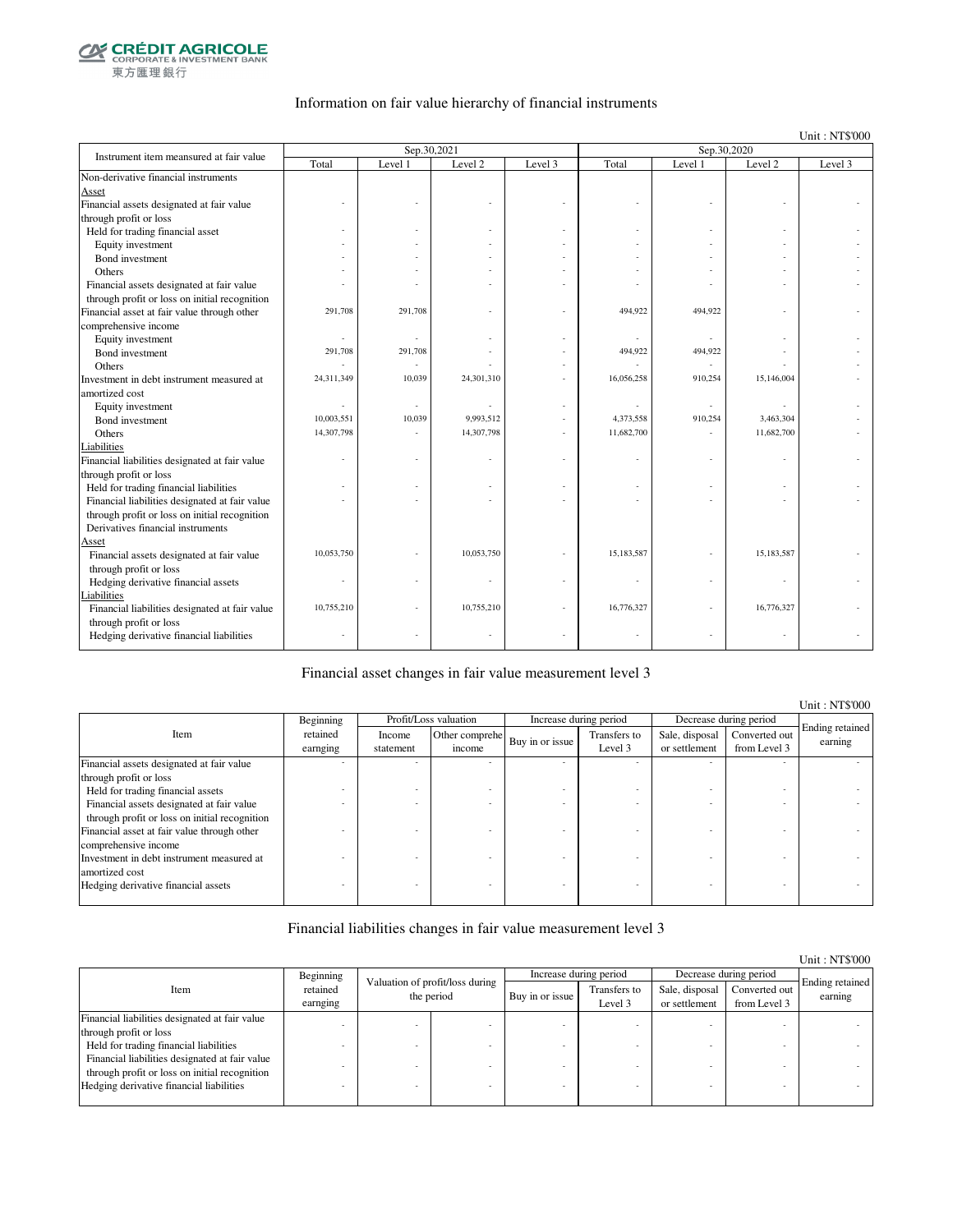

### Information on fair value hierarchy of financial instruments

Unit : NT\$'000

| Instrument item meansured at fair value        |            | Sep.30,2021 |            |         |            | Sep.30,2020 |            |         |
|------------------------------------------------|------------|-------------|------------|---------|------------|-------------|------------|---------|
|                                                | Total      | Level 1     | Level 2    | Level 3 | Total      | Level 1     | Level 2    | Level 3 |
| Non-derivative financial instruments           |            |             |            |         |            |             |            |         |
| Asset                                          |            |             |            |         |            |             |            |         |
| Financial assets designated at fair value      |            |             |            |         |            |             |            |         |
| through profit or loss                         |            |             |            |         |            |             |            |         |
| Held for trading financial asset               |            |             |            |         |            |             |            |         |
| Equity investment                              |            |             |            |         |            |             |            |         |
| Bond investment                                |            |             |            |         |            |             |            |         |
| Others                                         |            |             |            |         |            |             |            |         |
| Financial assets designated at fair value      |            |             |            |         |            |             |            |         |
| through profit or loss on initial recognition  |            |             |            |         |            |             |            |         |
| Financial asset at fair value through other    | 291,708    | 291,708     |            |         | 494,922    | 494,922     |            |         |
| comprehensive income                           |            |             |            |         |            |             |            |         |
| Equity investment                              | ä,         |             |            |         |            |             |            |         |
| Bond investment                                | 291,708    | 291,708     |            |         | 494,922    | 494,922     |            |         |
| Others                                         |            |             |            |         |            | ٠           |            |         |
| Investment in debt instrument measured at      | 24,311,349 | 10,039      | 24,301,310 |         | 16,056,258 | 910,254     | 15,146,004 |         |
| amortized cost                                 |            |             |            |         |            |             |            |         |
| Equity investment                              |            |             |            |         |            |             |            |         |
| Bond investment                                | 10,003,551 | 10,039      | 9,993,512  |         | 4,373,558  | 910,254     | 3,463,304  |         |
| Others                                         | 14,307,798 |             | 14,307,798 |         | 11,682,700 |             | 11,682,700 |         |
| Liabilities                                    |            |             |            |         |            |             |            |         |
| Financial liabilities designated at fair value |            |             |            |         |            |             |            |         |
| through profit or loss                         |            |             |            |         |            |             |            |         |
| Held for trading financial liabilities         |            |             |            |         |            |             |            |         |
| Financial liabilities designated at fair value |            |             |            |         |            |             |            |         |
| through profit or loss on initial recognition  |            |             |            |         |            |             |            |         |
| Derivatives financial instruments              |            |             |            |         |            |             |            |         |
| Asset                                          |            |             |            |         |            |             |            |         |
| Financial assets designated at fair value      | 10,053,750 |             | 10,053,750 |         | 15,183,587 |             | 15,183,587 |         |
| through profit or loss                         |            |             |            |         |            |             |            |         |
| Hedging derivative financial assets            |            |             |            |         |            |             |            |         |
| Liabilities                                    |            |             |            |         |            |             |            |         |
| Financial liabilities designated at fair value | 10,755,210 |             | 10,755,210 |         | 16,776,327 |             | 16,776,327 |         |
| through profit or loss                         |            |             |            |         |            |             |            |         |
| Hedging derivative financial liabilities       |            |             |            |         |            | ٠           |            |         |

#### Financial asset changes in fair value measurement level 3

|                                               |                      |                     |                          |                 |                         |                                 |                               | Unit : NTS'000             |
|-----------------------------------------------|----------------------|---------------------|--------------------------|-----------------|-------------------------|---------------------------------|-------------------------------|----------------------------|
|                                               | Beginning            |                     | Profit/Loss valuation    |                 | Increase during period  |                                 | Decrease during period        |                            |
| Item                                          | retained<br>earnging | Income<br>statement | Other comprehe<br>income | Buy in or issue | Transfers to<br>Level 3 | Sale, disposal<br>or settlement | Converted out<br>from Level 3 | Ending retained<br>earning |
| Financial assets designated at fair value     |                      |                     |                          |                 |                         |                                 |                               |                            |
| through profit or loss                        |                      |                     |                          |                 |                         |                                 |                               |                            |
| Held for trading financial assets             |                      |                     |                          |                 |                         |                                 |                               |                            |
| Financial assets designated at fair value     |                      |                     |                          |                 |                         |                                 |                               |                            |
| through profit or loss on initial recognition |                      |                     |                          |                 |                         |                                 |                               |                            |
| Financial asset at fair value through other   |                      |                     |                          |                 |                         |                                 |                               |                            |
| comprehensive income                          |                      |                     |                          |                 |                         |                                 |                               |                            |
| Investment in debt instrument measured at     |                      |                     |                          |                 |                         |                                 |                               |                            |
| amortized cost                                |                      |                     |                          |                 |                         |                                 |                               |                            |
| Hedging derivative financial assets           |                      |                     |                          |                 |                         |                                 |                               |                            |
|                                               |                      |                     |                          |                 |                         |                                 |                               |                            |

#### Financial liabilities changes in fair value measurement level 3

|                                                                                                 |                      |                                                                  |  |                         |                                 |                               | Unit: NT\$'000             |
|-------------------------------------------------------------------------------------------------|----------------------|------------------------------------------------------------------|--|-------------------------|---------------------------------|-------------------------------|----------------------------|
|                                                                                                 | Beginning            |                                                                  |  | Increase during period  |                                 | Decrease during period        |                            |
| Item                                                                                            | retained<br>earnging | Valuation of profit/loss during<br>the period<br>Buy in or issue |  | Transfers to<br>Level 3 | Sale, disposal<br>or settlement | Converted out<br>from Level 3 | Ending retained<br>earning |
| Financial liabilities designated at fair value                                                  |                      |                                                                  |  |                         |                                 |                               |                            |
| through profit or loss                                                                          |                      |                                                                  |  |                         |                                 |                               |                            |
| Held for trading financial liabilities                                                          |                      |                                                                  |  |                         |                                 |                               |                            |
| Financial liabilities designated at fair value<br>through profit or loss on initial recognition |                      |                                                                  |  |                         |                                 |                               |                            |
| Hedging derivative financial liabilities                                                        |                      |                                                                  |  |                         |                                 |                               |                            |

Unit : NT\$'000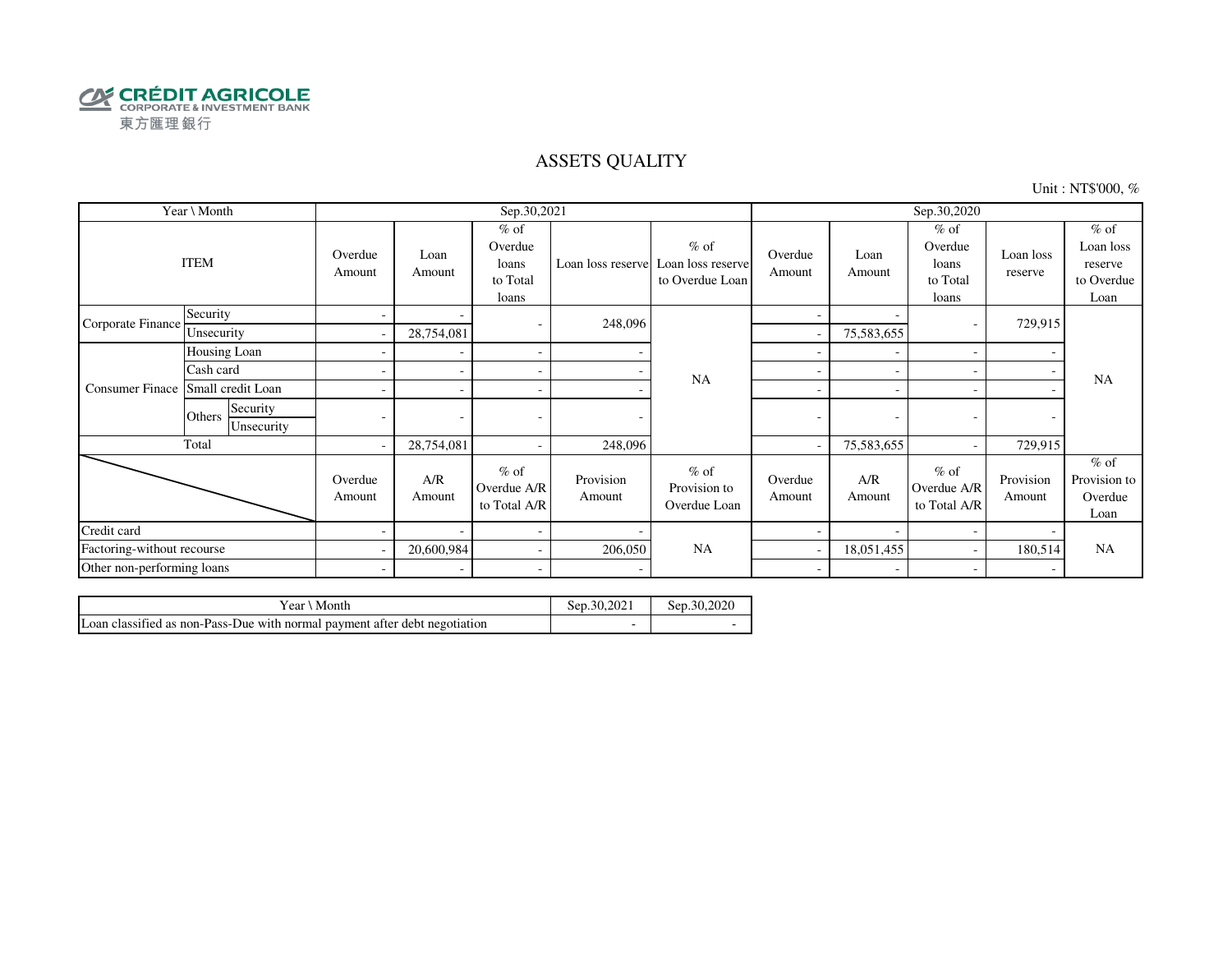

### ASSETS QUALITY

Unit : NT\$'000, %

|                            | Year \ Month                     |                          |                | Sep.30,2021                                     |                     |                                                                  | Sep.30,2020              |                |                                                 |                      |                                                      |
|----------------------------|----------------------------------|--------------------------|----------------|-------------------------------------------------|---------------------|------------------------------------------------------------------|--------------------------|----------------|-------------------------------------------------|----------------------|------------------------------------------------------|
|                            | <b>ITEM</b>                      | Overdue<br>Amount        | Loan<br>Amount | $%$ of<br>Overdue<br>loans<br>to Total<br>loans |                     | $%$ of<br>Loan loss reserve Loan loss reserve<br>to Overdue Loan | Overdue<br>Amount        | Loan<br>Amount | $%$ of<br>Overdue<br>loans<br>to Total<br>loans | Loan loss<br>reserve | $%$ of<br>Loan loss<br>reserve<br>to Overdue<br>Loan |
| Corporate Finance          | Security                         | $\overline{\phantom{a}}$ |                | $\overline{\phantom{a}}$                        | 248,096             |                                                                  | $\overline{\phantom{0}}$ |                |                                                 | 729,915              |                                                      |
|                            | Unsecurity                       |                          | 28,754,081     |                                                 |                     |                                                                  |                          | 75,583,655     |                                                 |                      |                                                      |
|                            | Housing Loan                     |                          |                | $\overline{\phantom{a}}$                        |                     |                                                                  |                          |                |                                                 |                      |                                                      |
|                            | Cash card                        |                          |                | $\sim$                                          |                     | <b>NA</b>                                                        | ÷                        |                |                                                 |                      | <b>NA</b>                                            |
| <b>Consumer Finace</b>     | Small credit Loan                |                          |                | $\sim$                                          |                     |                                                                  | ۰                        |                |                                                 |                      |                                                      |
|                            | Security<br>Others<br>Unsecurity |                          |                |                                                 | ٠                   |                                                                  | -                        | ٠              |                                                 |                      |                                                      |
|                            | Total                            | $\overline{\phantom{a}}$ | 28,754,081     | $\sim$                                          | 248,096             |                                                                  |                          | 75,583,655     |                                                 | 729,915              |                                                      |
|                            |                                  | Overdue<br>Amount        | A/R<br>Amount  | $%$ of<br>Overdue A/R<br>to Total A/R           | Provision<br>Amount | $%$ of<br>Provision to<br>Overdue Loan                           | Overdue<br>Amount        | A/R<br>Amount  | $%$ of<br>Overdue A/R<br>to Total A/R           | Provision<br>Amount  | $%$ of<br>Provision to<br>Overdue<br>Loan            |
| Credit card                |                                  |                          |                | $\overline{\phantom{a}}$                        |                     |                                                                  |                          |                |                                                 |                      |                                                      |
| Factoring-without recourse |                                  | $\overline{\phantom{a}}$ | 20,600,984     | $\sim$                                          | 206,050             | <b>NA</b>                                                        |                          | 18,051,455     |                                                 | 180,514              | <b>NA</b>                                            |
| Other non-performing loans |                                  | $\sim$                   |                | $\sim$                                          |                     |                                                                  | $\sim$                   |                |                                                 |                      |                                                      |

| Vear ∖ Month                                                               | Sep.30.2021 | Sep.30,2020 |
|----------------------------------------------------------------------------|-------------|-------------|
| Loan classified as non-Pass-Due with normal payment after debt negotiation |             |             |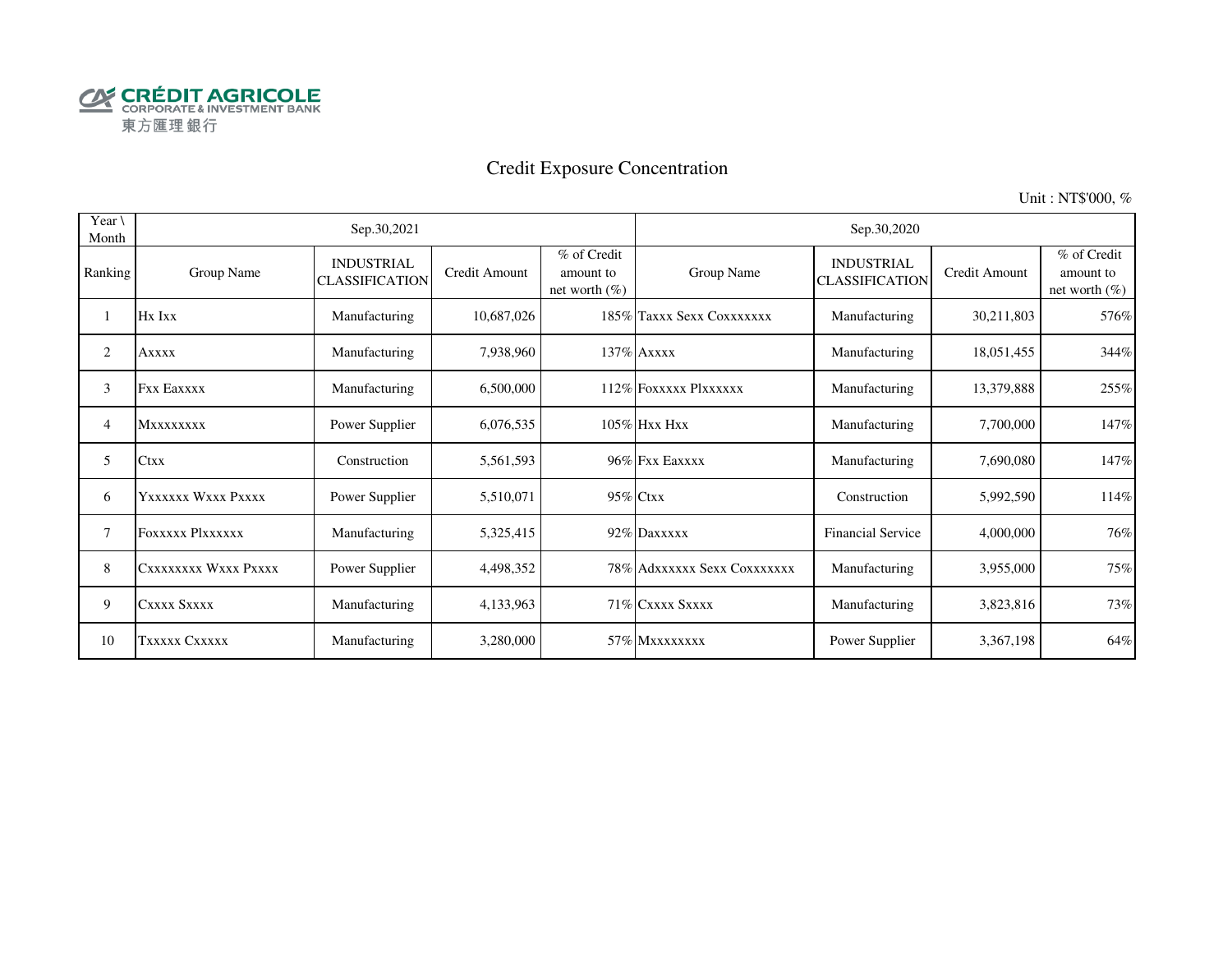

# Credit Exposure Concentration

Unit : NT\$'000, %

| Year $\setminus$<br>Month |                      | Sep.30,2021                                |               |                                              |                             | Sep.30,2020                                |               |                                              |
|---------------------------|----------------------|--------------------------------------------|---------------|----------------------------------------------|-----------------------------|--------------------------------------------|---------------|----------------------------------------------|
| Ranking                   | Group Name           | <b>INDUSTRIAL</b><br><b>CLASSIFICATION</b> | Credit Amount | % of Credit<br>amount to<br>net worth $(\%)$ | Group Name                  | <b>INDUSTRIAL</b><br><b>CLASSIFICATION</b> | Credit Amount | % of Credit<br>amount to<br>net worth $(\%)$ |
|                           | Hx Ixx               | Manufacturing                              | 10,687,026    |                                              | 185% Taxxx Sexx Coxxxxxxx   | Manufacturing                              | 30,211,803    | 576%                                         |
| 2                         | <b>Axxxx</b>         | Manufacturing                              | 7,938,960     |                                              | 137% Axxxx                  | Manufacturing                              | 18,051,455    | 344%                                         |
| 3                         | <b>Fxx Eaxxxx</b>    | Manufacturing                              | 6,500,000     |                                              | 112% FOXXXXX PlXXXXXX       | Manufacturing                              | 13,379,888    | 255%                                         |
| 4                         | <b>Mxxxxxxxx</b>     | Power Supplier                             | 6,076,535     |                                              | $105\%$ Hxx Hxx             | Manufacturing                              | 7,700,000     | 147%                                         |
| 5                         | Ctxx                 | Construction                               | 5,561,593     |                                              | 96% Fxx Eaxxxx              | Manufacturing                              | 7,690,080     | 147%                                         |
| 6                         | Yxxxxxx Wxxx Pxxxx   | Power Supplier                             | 5,510,071     |                                              | 95% Ctxx                    | Construction                               | 5,992,590     | 114%                                         |
| 7                         | FOXXXXX Plxxxxxx     | Manufacturing                              | 5,325,415     |                                              | 92% Daxxxxx                 | <b>Financial Service</b>                   | 4,000,000     | 76%                                          |
| 8                         | CXXXXXXXX WXXX PXXXX | Power Supplier                             | 4,498,352     |                                              | 78% Adxxxxxx Sexx Coxxxxxxx | Manufacturing                              | 3,955,000     | 75%                                          |
| 9                         | CXXXX SXXXX          | Manufacturing                              | 4,133,963     |                                              | 71% CXXXX SXXXX             | Manufacturing                              | 3,823,816     | 73%                                          |
| 10                        | TXXXXX CXXXXX        | Manufacturing                              | 3,280,000     |                                              | 57% Mxxxxxxxx               | Power Supplier                             | 3,367,198     | 64%                                          |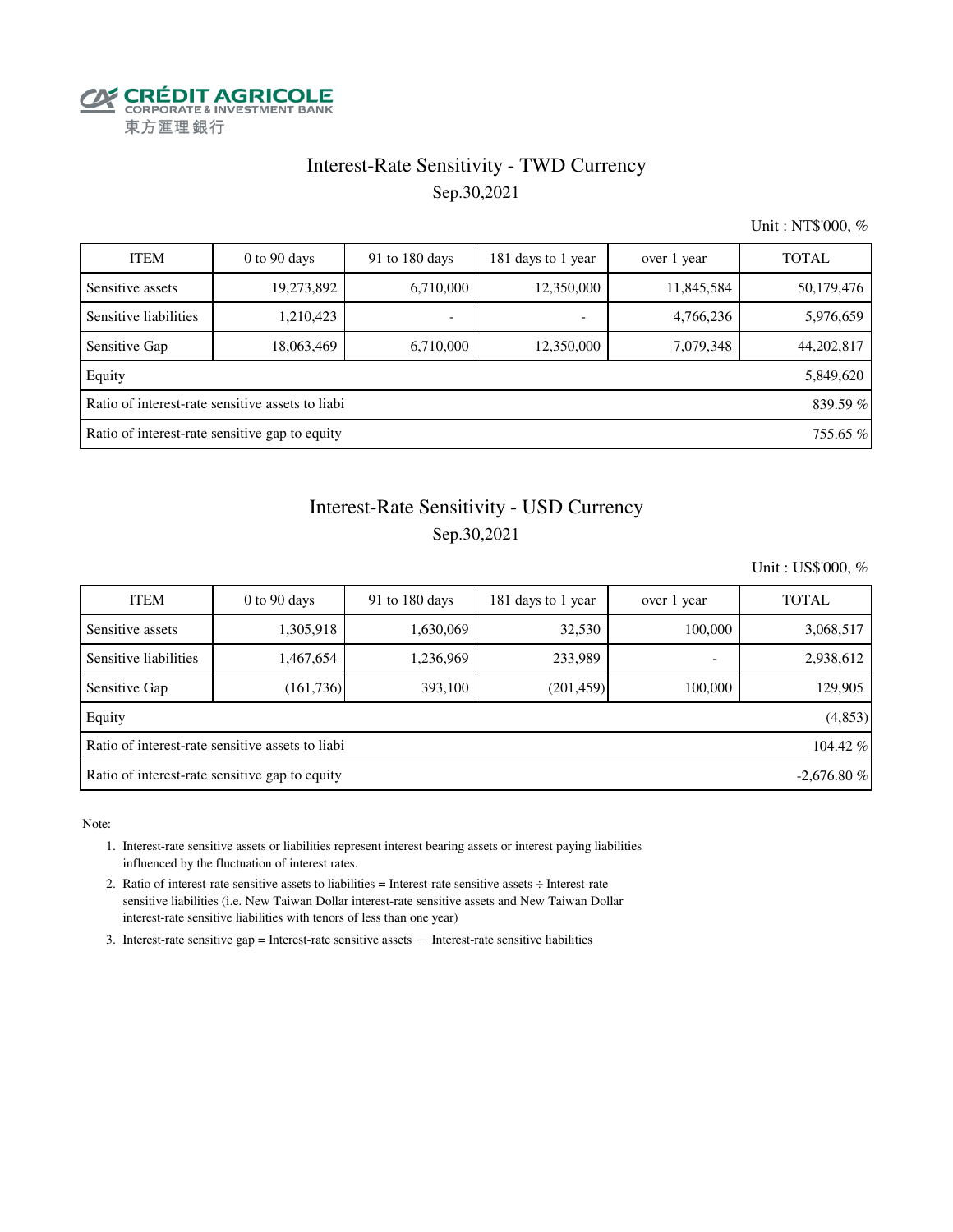

### Interest-Rate Sensitivity - TWD Currency Sep.30,2021

Unit : NT\$'000, %

| <b>ITEM</b>                                    | $0$ to $90$ days                                 | 91 to 180 days           | 181 days to 1 year       | over 1 year | <b>TOTAL</b> |  |  |
|------------------------------------------------|--------------------------------------------------|--------------------------|--------------------------|-------------|--------------|--|--|
| Sensitive assets                               | 19,273,892                                       | 6,710,000                | 12,350,000               | 11,845,584  | 50,179,476   |  |  |
| Sensitive liabilities                          | 1,210,423                                        | $\overline{\phantom{a}}$ | $\overline{\phantom{a}}$ | 4,766,236   | 5,976,659    |  |  |
| Sensitive Gap                                  | 18,063,469                                       | 6,710,000                | 12,350,000               | 7,079,348   | 44,202,817   |  |  |
| Equity                                         |                                                  |                          |                          |             | 5,849,620    |  |  |
|                                                | Ratio of interest-rate sensitive assets to liabi |                          |                          |             | 839.59 %     |  |  |
| Ratio of interest-rate sensitive gap to equity |                                                  |                          |                          |             |              |  |  |

## Interest-Rate Sensitivity - USD Currency Sep.30,2021

Unit : US\$'000, %

| <b>ITEM</b>                                                    | $0$ to $90$ days | 91 to $180$ days | 181 days to 1 year | over 1 year              | <b>TOTAL</b> |  |  |  |  |
|----------------------------------------------------------------|------------------|------------------|--------------------|--------------------------|--------------|--|--|--|--|
| Sensitive assets                                               | 1,305,918        | 1,630,069        | 32,530             | 100,000                  | 3,068,517    |  |  |  |  |
| Sensitive liabilities                                          | 1,467,654        | 1,236,969        | 233,989            | $\overline{\phantom{0}}$ | 2,938,612    |  |  |  |  |
| Sensitive Gap                                                  | (161, 736)       | 393,100          | (201, 459)         | 100,000                  | 129,905      |  |  |  |  |
| Equity                                                         |                  |                  |                    |                          | (4,853)      |  |  |  |  |
| Ratio of interest-rate sensitive assets to liabi               |                  |                  |                    |                          |              |  |  |  |  |
| Ratio of interest-rate sensitive gap to equity<br>$-2.676.80%$ |                  |                  |                    |                          |              |  |  |  |  |

Note:

- 1. Interest-rate sensitive assets or liabilities represent interest bearing assets or interest paying liabilities influenced by the fluctuation of interest rates.
- 2. Ratio of interest-rate sensitive assets to liabilities = Interest-rate sensitive assets ÷ Interest-rate sensitive liabilities (i.e. New Taiwan Dollar interest-rate sensitive assets and New Taiwan Dollar interest-rate sensitive liabilities with tenors of less than one year)
- 3. Interest-rate sensitive gap = Interest-rate sensitive assets  $-$  Interest-rate sensitive liabilities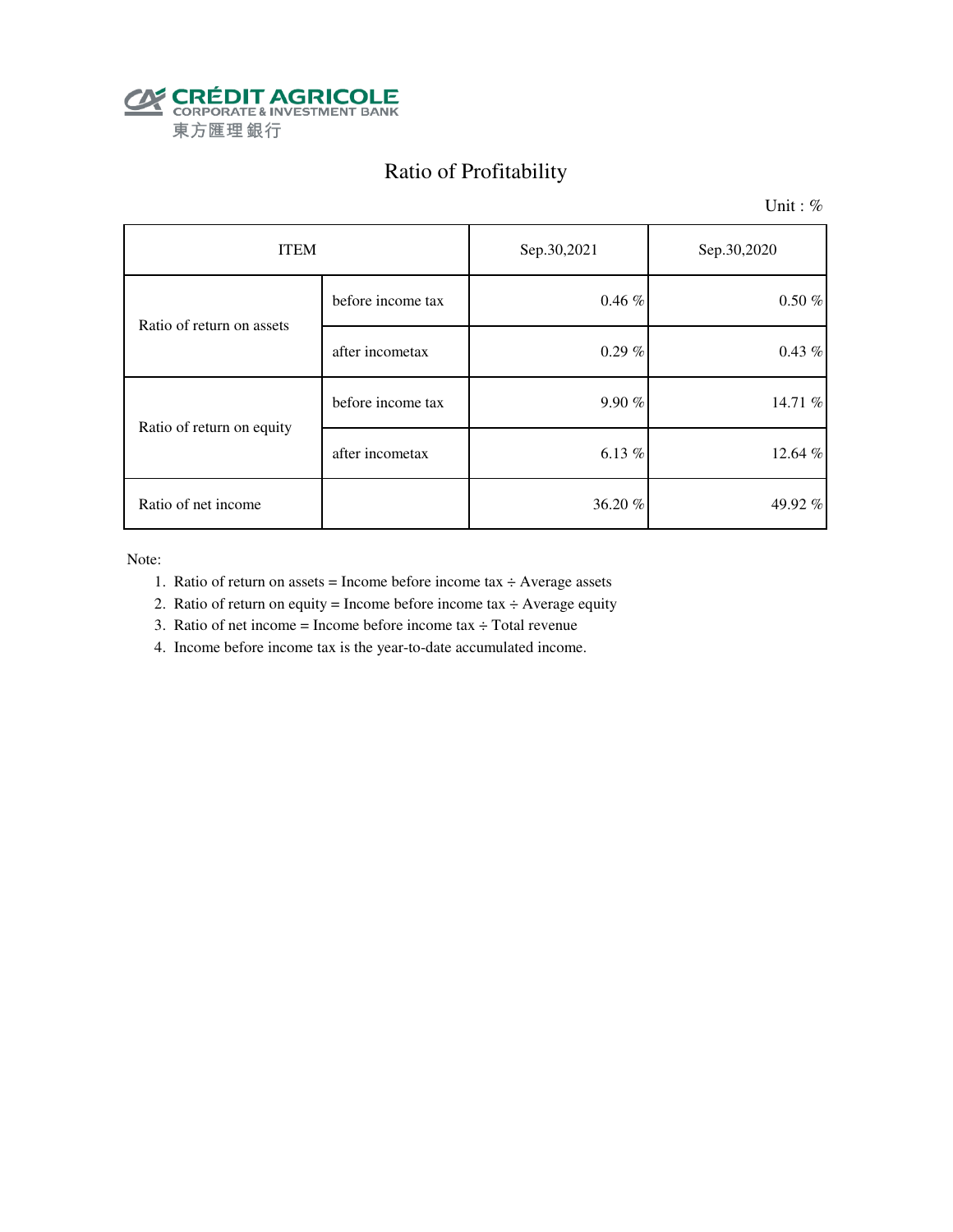

# Ratio of Profitability

Unit: %

| <b>ITEM</b>               |                   | Sep.30,2021 | Sep.30,2020 |
|---------------------------|-------------------|-------------|-------------|
| Ratio of return on assets | before income tax | 0.46%       | $0.50 \%$   |
|                           | after incometax   | $0.29 \%$   | $0.43\%$    |
| Ratio of return on equity | before income tax | 9.90%       | 14.71 %     |
|                           | after incometax   | 6.13%       | 12.64 %     |
| Ratio of net income       |                   | 36.20%      | 49.92 $%$   |

Note:

- 1. Ratio of return on assets = Income before income tax  $\div$  Average assets
- 2. Ratio of return on equity = Income before income tax  $\div$  Average equity
- 3. Ratio of net income = Income before income tax  $\div$  Total revenue
- 4. Income before income tax is the year-to-date accumulated income.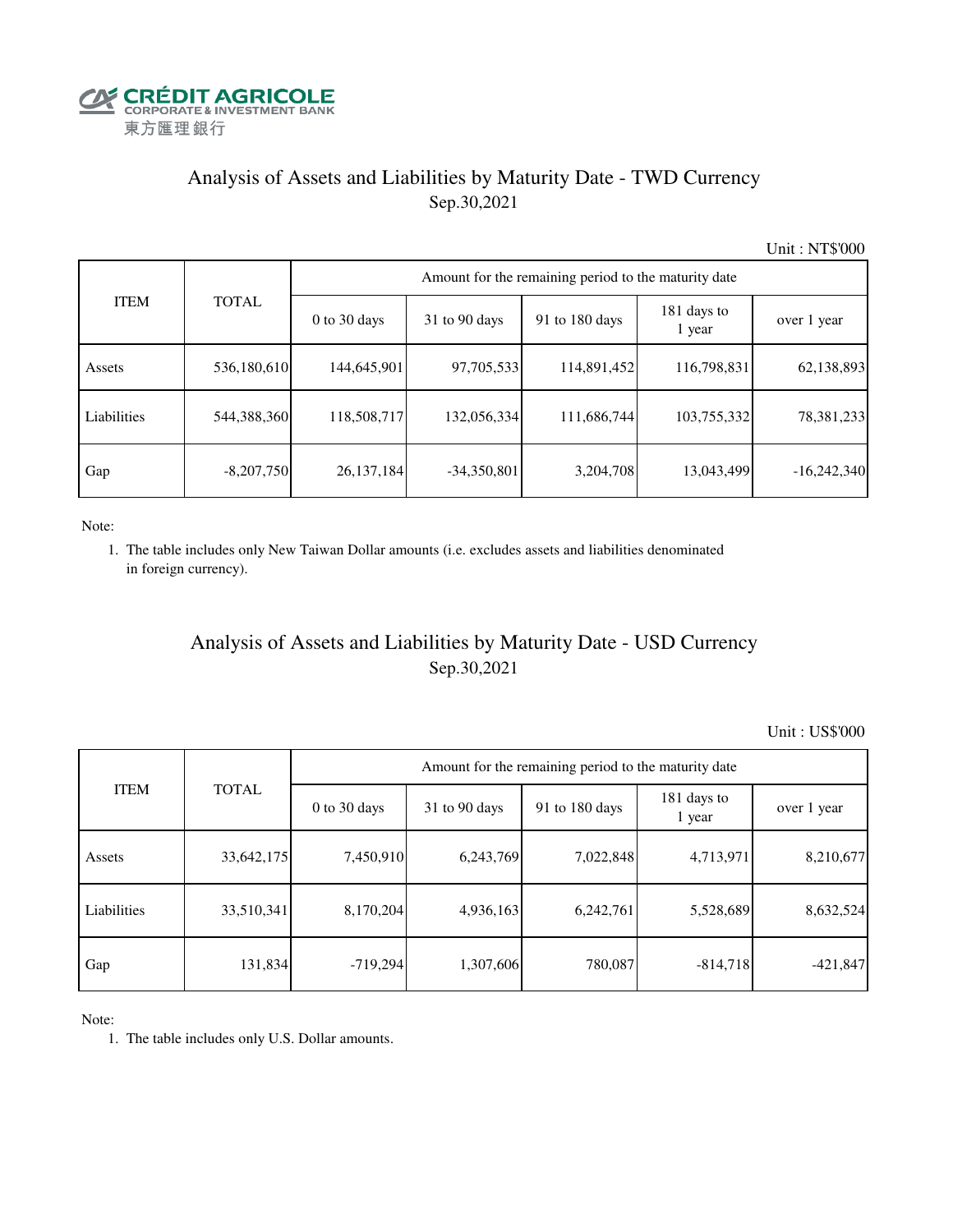

# Analysis of Assets and Liabilities by Maturity Date - TWD Currency Sep.30,2021

Unit : NT\$'000

|             |              | Amount for the remaining period to the maturity date |                 |                |                       |               |  |  |  |  |  |
|-------------|--------------|------------------------------------------------------|-----------------|----------------|-----------------------|---------------|--|--|--|--|--|
| <b>ITEM</b> | <b>TOTAL</b> | $0$ to 30 days                                       | $31$ to 90 days | 91 to 180 days | 181 days to<br>1 year | over 1 year   |  |  |  |  |  |
| Assets      | 536,180,610  | 144,645,901                                          | 97,705,533      | 114,891,452    | 116,798,831           | 62,138,893    |  |  |  |  |  |
| Liabilities | 544,388,360  | 118,508,717                                          | 132,056,334     | 111,686,744    | 103,755,332           | 78,381,233    |  |  |  |  |  |
| Gap         | $-8,207,750$ | 26,137,184                                           | $-34,350,801$   | 3,204,708      | 13,043,499            | $-16,242,340$ |  |  |  |  |  |

Note:

 1. The table includes only New Taiwan Dollar amounts (i.e. excludes assets and liabilities denominated in foreign currency).

### Analysis of Assets and Liabilities by Maturity Date - USD Currency Sep.30,2021

Unit : US\$'000

| <b>ITEM</b> |              | Amount for the remaining period to the maturity date |                 |                |                       |             |  |  |
|-------------|--------------|------------------------------------------------------|-----------------|----------------|-----------------------|-------------|--|--|
|             | <b>TOTAL</b> | $0$ to 30 days                                       | $31$ to 90 days | 91 to 180 days | 181 days to<br>1 year | over 1 year |  |  |
| Assets      | 33,642,175   | 7,450,910                                            | 6,243,769       | 7,022,848      | 4,713,971             | 8,210,677   |  |  |
| Liabilities | 33,510,341   | 8,170,204                                            | 4,936,163       | 6,242,761      | 5,528,689             | 8,632,524   |  |  |
| Gap         | 131,834      | $-719,294$                                           | 1,307,606       | 780,087        | $-814,718$            | $-421,847$  |  |  |

Note:

1. The table includes only U.S. Dollar amounts.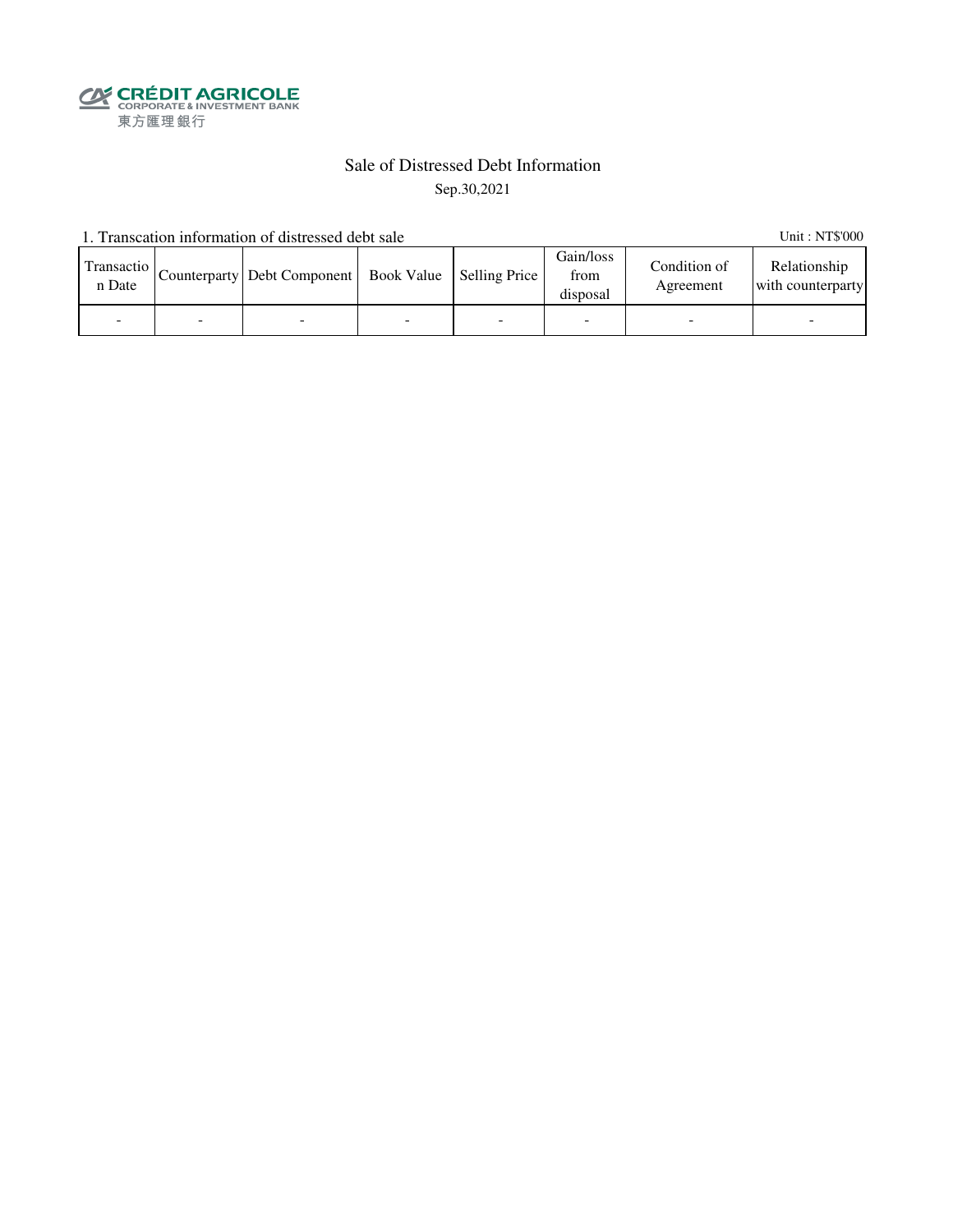**SECRÉDIT AGRICOLE**<br>
CORPORATE& INVESTMENT BANK<br>
東方匯理銀行

# Sale of Distressed Debt Information

Sep.30,2021

1. Transcation information of distressed debt sale Unit: NT\$'000

| Transactio<br>n Date | Counterparty   Debt Component   Book Value   Selling Price |  | Gain/loss<br>from<br>disposal | Condition of<br>Agreement | Relationship<br>with counterparty |
|----------------------|------------------------------------------------------------|--|-------------------------------|---------------------------|-----------------------------------|
|                      |                                                            |  | ۰                             |                           |                                   |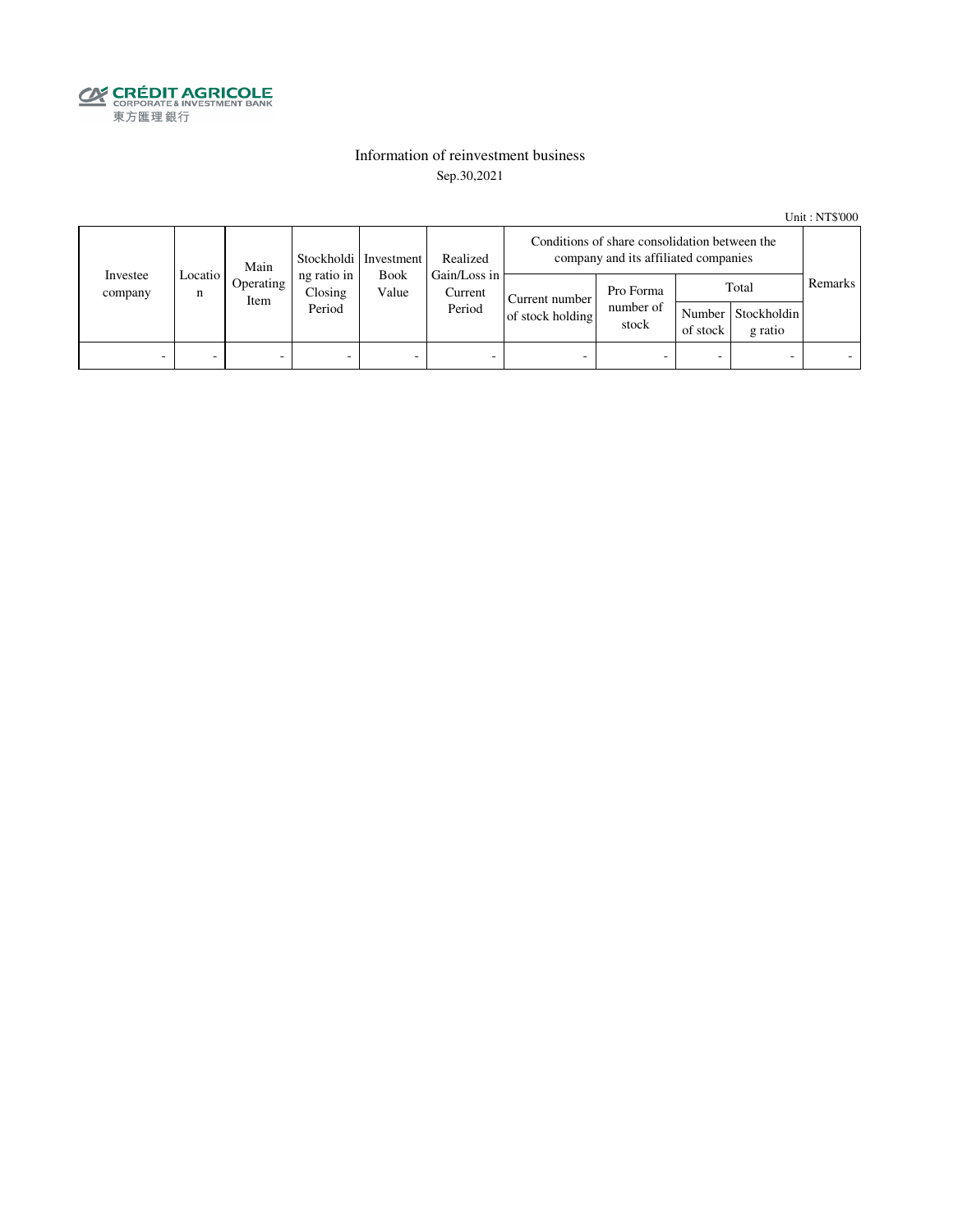

### Information of reinvestment business Sep.30,2021

Unit : NT\$'000

| Investee<br>company | Main<br>Locatio I<br>n<br>Item |           |                                  | Stockholdi Investment<br>Gain/Loss in<br><b>Book</b><br>Value | Realized                 | Conditions of share consolidation between the<br>company and its affiliated companies |                                                                                       |                          |         |  |
|---------------------|--------------------------------|-----------|----------------------------------|---------------------------------------------------------------|--------------------------|---------------------------------------------------------------------------------------|---------------------------------------------------------------------------------------|--------------------------|---------|--|
|                     |                                | Operating | ng ratio in<br>Closing<br>Period |                                                               | Current<br>Period        | Current number<br>of stock holding                                                    | Total<br>Pro Forma<br>number of<br>Number Stockholdin<br>stock<br>of stock<br>g ratio |                          | Remarks |  |
| -                   | -                              | -         | $\overline{\phantom{0}}$         | -                                                             | $\overline{\phantom{a}}$ | -                                                                                     |                                                                                       | $\overline{\phantom{0}}$ |         |  |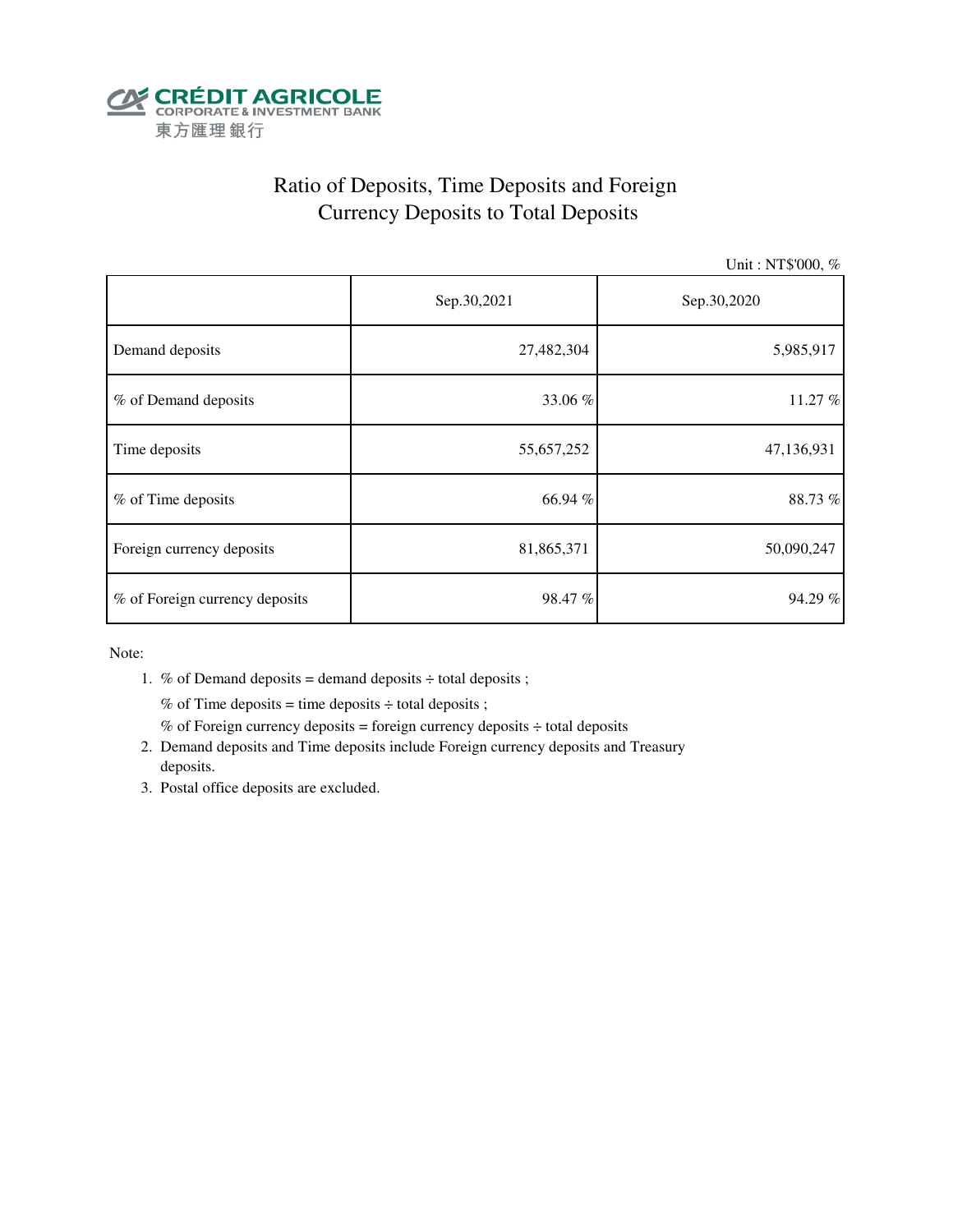

# Ratio of Deposits, Time Deposits and Foreign Currency Deposits to Total Deposits

Unit : NT\$'000, %

|                                | Sep.30,2021 | Sep.30,2020 |  |  |
|--------------------------------|-------------|-------------|--|--|
| Demand deposits                | 27,482,304  | 5,985,917   |  |  |
| % of Demand deposits           | 33.06 %     | 11.27 %     |  |  |
| Time deposits                  | 55,657,252  | 47,136,931  |  |  |
| % of Time deposits             | 66.94 %     | 88.73%      |  |  |
| Foreign currency deposits      | 81,865,371  | 50,090,247  |  |  |
| % of Foreign currency deposits | 98.47 %     | 94.29 %     |  |  |

Note:

1. % of Demand deposits = demand deposits  $\div$  total deposits ;

% of Time deposits = time deposits  $\div$  total deposits ;

- % of Foreign currency deposits = foreign currency deposits  $\div$  total deposits
- 2. Demand deposits and Time deposits include Foreign currency deposits and Treasury deposits.
- 3. Postal office deposits are excluded.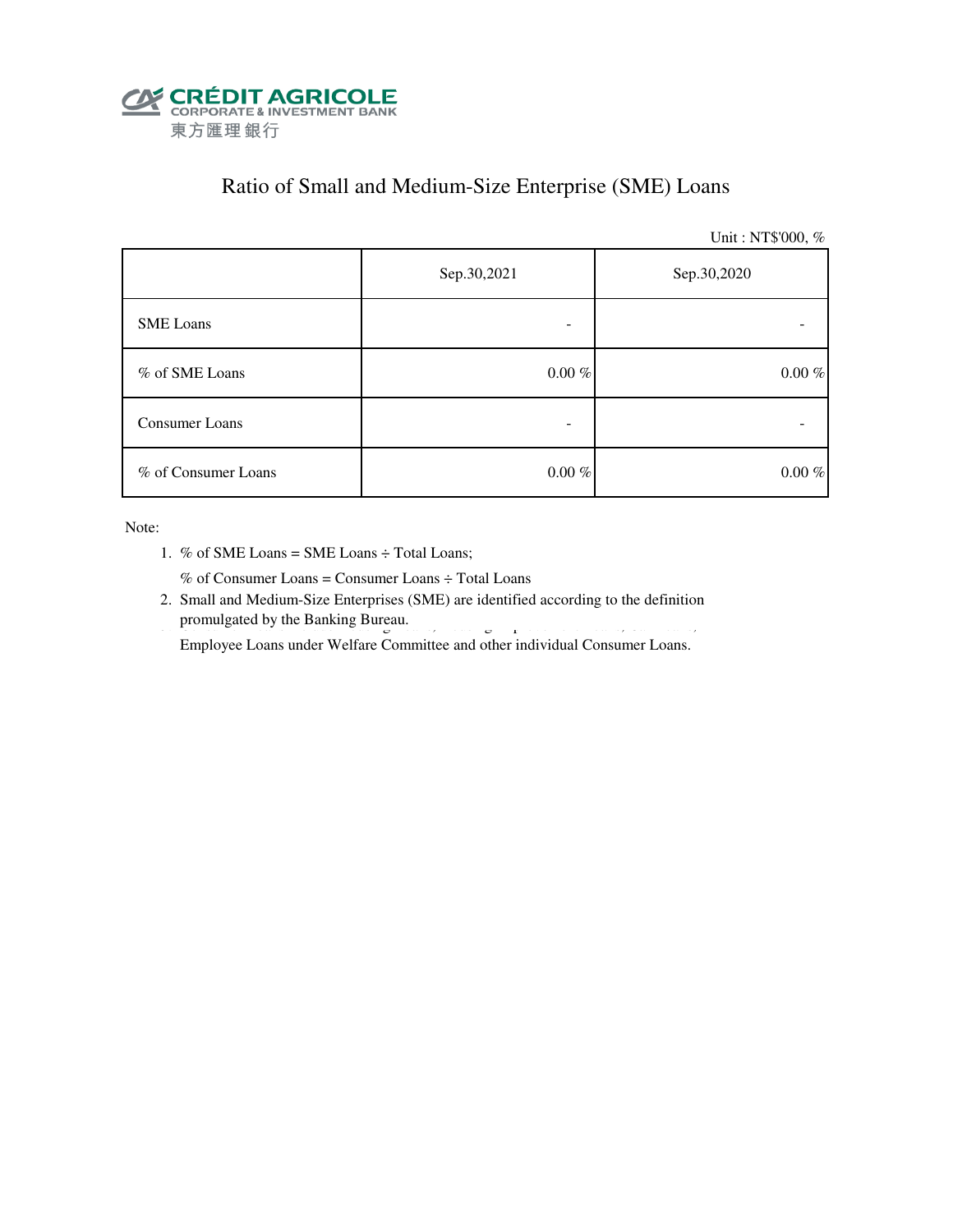

### Ratio of Small and Medium-Size Enterprise (SME) Loans

Unit : NT\$'000, %

|                     | Sep.30,2021 | Sep.30,2020 |  |  |
|---------------------|-------------|-------------|--|--|
| <b>SME</b> Loans    |             |             |  |  |
| % of SME Loans      | $0.00~\%$   | $0.00~\%$   |  |  |
| Consumer Loans      | -           |             |  |  |
| % of Consumer Loans | $0.00~\%$   | $0.00~\%$   |  |  |

Note:

1. % of SME Loans = SME Loans ÷ Total Loans;

% of Consumer Loans = Consumer Loans ÷ Total Loans

 2. Small and Medium-Size Enterprises (SME) are identified according to the definition promulgated by the Banking Bureau. 3. Consumer Loans include Housing Improvement Loans, Housing Improvement Loans, Car Loans, Car Loans, Car Loans, Car Loans, Car Loans, Car Loans, Car Loans, Car Loans, Car Loans, Car Loan

Employee Loans under Welfare Committee and other individual Consumer Loans.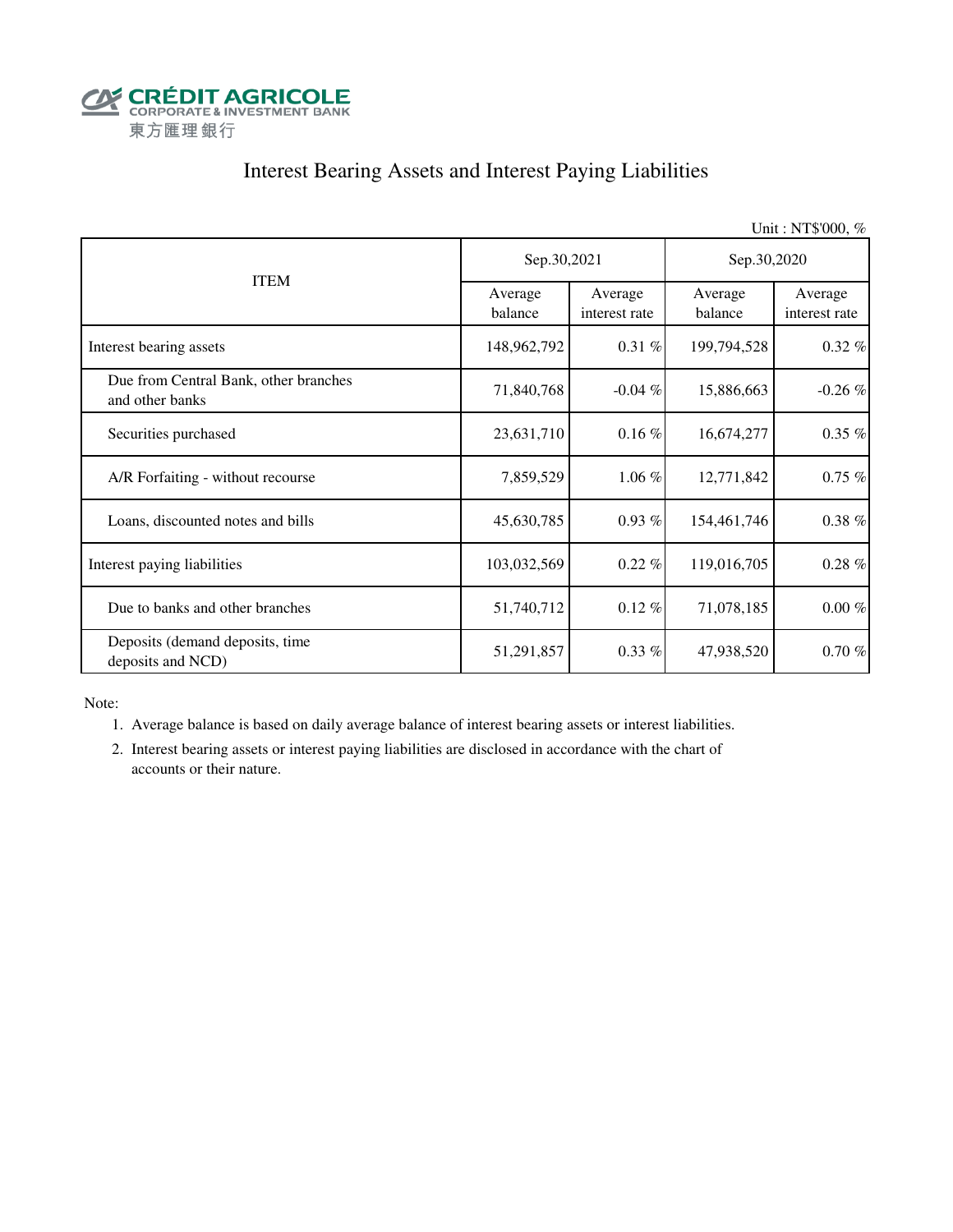

## Interest Bearing Assets and Interest Paying Liabilities

Unit : NT\$'000, % Average balance Average interest rate Average balance Average interest rate Interest bearing assets 148,962,792 0.31 % 199,794,528 0.32 % Due from Central Bank, other branches and other banks **and other banks**  $\begin{bmatrix} 71,840,768 \\ -0.04 \end{bmatrix}$   $\begin{bmatrix} 15,886,663 \\ -15,886,663 \end{bmatrix}$   $\begin{bmatrix} -0.26 \% \\ -0.26 \end{bmatrix}$ Securities purchased 23,631,710 0.16 % 16,674,277 0.35 % A/R Forfaiting - without recourse  $\begin{array}{ccc} 7,859,529 & 1.06 \% & 12,771,842 & 0.75 \% \end{array}$ Loans, discounted notes and bills  $45,630,785$   $0.93\%$   $154,461,746$   $0.38\%$ Interest paying liabilities 103,032,569 0.22 % 119,016,705 0.28 % Due to banks and other branches  $51,740,712$   $0.12 \%$   $71,078,185$   $0.00 \%$  Deposits (demand deposits, time deposits and NCD)  $51,291,857$   $0.33\%$   $47,938,520$   $0.70\%$ ITEM Sep.30,2021 Sep.30,2020

Note:

1. Average balance is based on daily average balance of interest bearing assets or interest liabilities.

 2. Interest bearing assets or interest paying liabilities are disclosed in accordance with the chart of accounts or their nature.